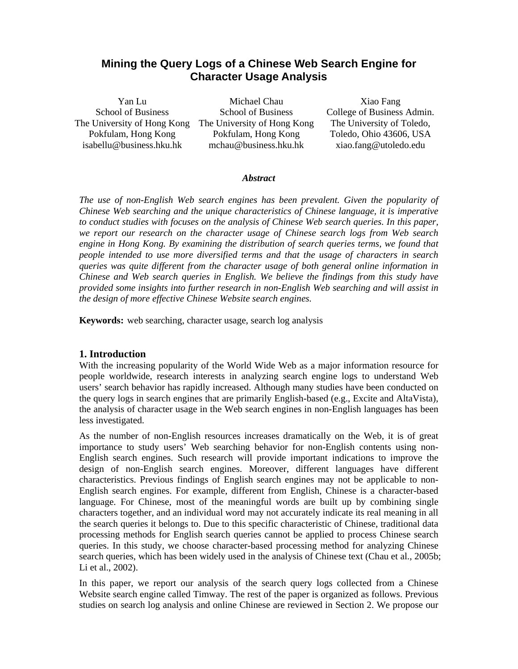# **Mining the Query Logs of a Chinese Web Search Engine for Character Usage Analysis**

Yan Lu School of Business The University of Hong Kong Pokfulam, Hong Kong isabellu@business.hku.hk

Michael Chau School of Business The University of Hong Kong Pokfulam, Hong Kong mchau@business.hku.hk

Xiao Fang College of Business Admin. The University of Toledo, Toledo, Ohio 43606, USA xiao.fang@utoledo.edu

#### *Abstract*

*The use of non-English Web search engines has been prevalent. Given the popularity of Chinese Web searching and the unique characteristics of Chinese language, it is imperative to conduct studies with focuses on the analysis of Chinese Web search queries. In this paper, we report our research on the character usage of Chinese search logs from Web search engine in Hong Kong. By examining the distribution of search queries terms, we found that people intended to use more diversified terms and that the usage of characters in search queries was quite different from the character usage of both general online information in Chinese and Web search queries in English. We believe the findings from this study have provided some insights into further research in non-English Web searching and will assist in the design of more effective Chinese Website search engines.* 

**Keywords:** web searching, character usage, search log analysis

# **1. Introduction**

With the increasing popularity of the World Wide Web as a major information resource for people worldwide, research interests in analyzing search engine logs to understand Web users' search behavior has rapidly increased. Although many studies have been conducted on the query logs in search engines that are primarily English-based (e.g., Excite and AltaVista), the analysis of character usage in the Web search engines in non-English languages has been less investigated.

As the number of non-English resources increases dramatically on the Web, it is of great importance to study users' Web searching behavior for non-English contents using non-English search engines. Such research will provide important indications to improve the design of non-English search engines. Moreover, different languages have different characteristics. Previous findings of English search engines may not be applicable to non-English search engines. For example, different from English, Chinese is a character-based language. For Chinese, most of the meaningful words are built up by combining single characters together, and an individual word may not accurately indicate its real meaning in all the search queries it belongs to. Due to this specific characteristic of Chinese, traditional data processing methods for English search queries cannot be applied to process Chinese search queries. In this study, we choose character-based processing method for analyzing Chinese search queries, which has been widely used in the analysis of Chinese text (Chau et al., 2005b; Li et al., 2002).

In this paper, we report our analysis of the search query logs collected from a Chinese Website search engine called Timway. The rest of the paper is organized as follows. Previous studies on search log analysis and online Chinese are reviewed in Section 2. We propose our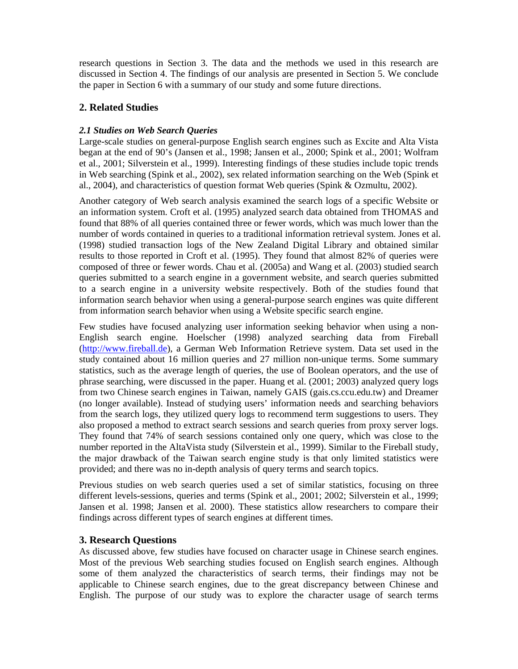research questions in Section 3. The data and the methods we used in this research are discussed in Section 4. The findings of our analysis are presented in Section 5. We conclude the paper in Section 6 with a summary of our study and some future directions.

# **2. Related Studies**

# *2.1 Studies on Web Search Queries*

Large-scale studies on general-purpose English search engines such as Excite and Alta Vista began at the end of 90's (Jansen et al., 1998; Jansen et al., 2000; Spink et al., 2001; Wolfram et al., 2001; Silverstein et al., 1999). Interesting findings of these studies include topic trends in Web searching (Spink et al., 2002), sex related information searching on the Web (Spink et al., 2004), and characteristics of question format Web queries (Spink & Ozmultu, 2002).

Another category of Web search analysis examined the search logs of a specific Website or an information system. Croft et al. (1995) analyzed search data obtained from THOMAS and found that 88% of all queries contained three or fewer words, which was much lower than the number of words contained in queries to a traditional information retrieval system. Jones et al. (1998) studied transaction logs of the New Zealand Digital Library and obtained similar results to those reported in Croft et al. (1995). They found that almost 82% of queries were composed of three or fewer words. Chau et al. (2005a) and Wang et al. (2003) studied search queries submitted to a search engine in a government website, and search queries submitted to a search engine in a university website respectively. Both of the studies found that information search behavior when using a general-purpose search engines was quite different from information search behavior when using a Website specific search engine.

Few studies have focused analyzing user information seeking behavior when using a non-English search engine. Hoelscher (1998) analyzed searching data from Fireball (http://www.fireball.de), a German Web Information Retrieve system. Data set used in the study contained about 16 million queries and 27 million non-unique terms. Some summary statistics, such as the average length of queries, the use of Boolean operators, and the use of phrase searching, were discussed in the paper. Huang et al. (2001; 2003) analyzed query logs from two Chinese search engines in Taiwan, namely GAIS (gais.cs.ccu.edu.tw) and Dreamer (no longer available). Instead of studying users' information needs and searching behaviors from the search logs, they utilized query logs to recommend term suggestions to users. They also proposed a method to extract search sessions and search queries from proxy server logs. They found that 74% of search sessions contained only one query, which was close to the number reported in the AltaVista study (Silverstein et al., 1999). Similar to the Fireball study, the major drawback of the Taiwan search engine study is that only limited statistics were provided; and there was no in-depth analysis of query terms and search topics.

Previous studies on web search queries used a set of similar statistics, focusing on three different levels-sessions, queries and terms (Spink et al., 2001; 2002; Silverstein et al., 1999; Jansen et al. 1998; Jansen et al. 2000). These statistics allow researchers to compare their findings across different types of search engines at different times.

# **3. Research Questions**

As discussed above, few studies have focused on character usage in Chinese search engines. Most of the previous Web searching studies focused on English search engines. Although some of them analyzed the characteristics of search terms, their findings may not be applicable to Chinese search engines, due to the great discrepancy between Chinese and English. The purpose of our study was to explore the character usage of search terms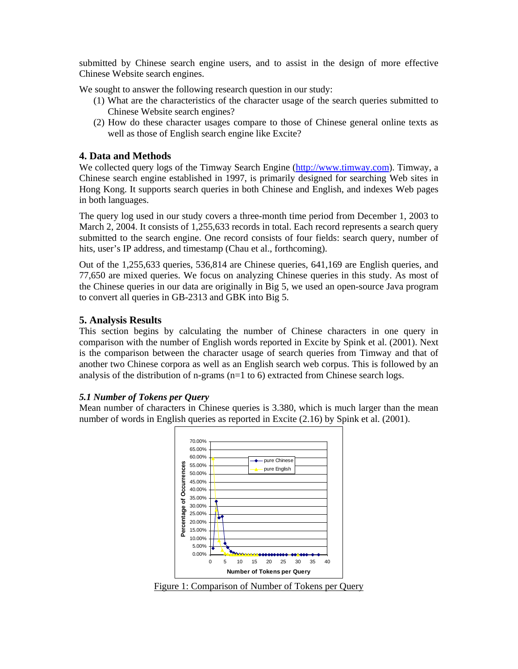submitted by Chinese search engine users, and to assist in the design of more effective Chinese Website search engines.

We sought to answer the following research question in our study:

- (1) What are the characteristics of the character usage of the search queries submitted to Chinese Website search engines?
- (2) How do these character usages compare to those of Chinese general online texts as well as those of English search engine like Excite?

# **4. Data and Methods**

We collected query logs of the Timway Search Engine (http://www.timway.com). Timway, a Chinese search engine established in 1997, is primarily designed for searching Web sites in Hong Kong. It supports search queries in both Chinese and English, and indexes Web pages in both languages.

The query log used in our study covers a three-month time period from December 1, 2003 to March 2, 2004. It consists of 1,255,633 records in total. Each record represents a search query submitted to the search engine. One record consists of four fields: search query, number of hits, user's IP address, and timestamp (Chau et al., forthcoming).

Out of the 1,255,633 queries, 536,814 are Chinese queries, 641,169 are English queries, and 77,650 are mixed queries. We focus on analyzing Chinese queries in this study. As most of the Chinese queries in our data are originally in Big 5, we used an open-source Java program to convert all queries in GB-2313 and GBK into Big 5.

# **5. Analysis Results**

This section begins by calculating the number of Chinese characters in one query in comparison with the number of English words reported in Excite by Spink et al. (2001). Next is the comparison between the character usage of search queries from Timway and that of another two Chinese corpora as well as an English search web corpus. This is followed by an analysis of the distribution of n-grams  $(n=1 \text{ to } 6)$  extracted from Chinese search logs.

### *5.1 Number of Tokens per Query*

Mean number of characters in Chinese queries is 3.380, which is much larger than the mean number of words in English queries as reported in Excite (2.16) by Spink et al. (2001).



Figure 1: Comparison of Number of Tokens per Query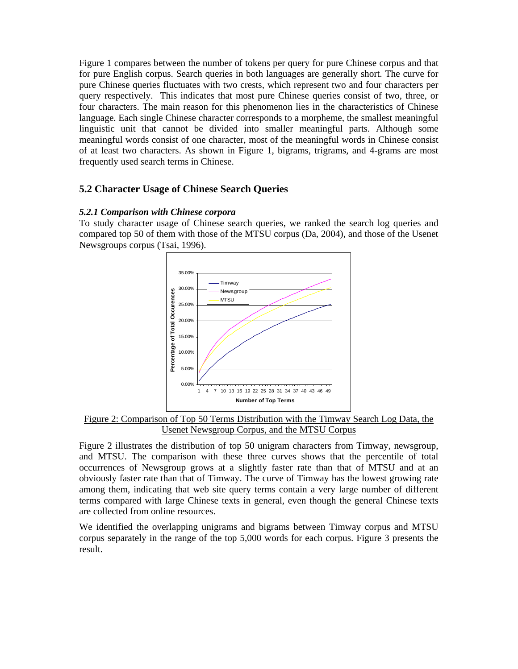Figure 1 compares between the number of tokens per query for pure Chinese corpus and that for pure English corpus. Search queries in both languages are generally short. The curve for pure Chinese queries fluctuates with two crests, which represent two and four characters per query respectively. This indicates that most pure Chinese queries consist of two, three, or four characters. The main reason for this phenomenon lies in the characteristics of Chinese language. Each single Chinese character corresponds to a morpheme, the smallest meaningful linguistic unit that cannot be divided into smaller meaningful parts. Although some meaningful words consist of one character, most of the meaningful words in Chinese consist of at least two characters. As shown in Figure 1, bigrams, trigrams, and 4-grams are most frequently used search terms in Chinese.

# **5.2 Character Usage of Chinese Search Queries**

### *5.2.1 Comparison with Chinese corpora*

To study character usage of Chinese search queries, we ranked the search log queries and compared top 50 of them with those of the MTSU corpus (Da, 2004), and those of the Usenet Newsgroups corpus (Tsai, 1996).



 Figure 2: Comparison of Top 50 Terms Distribution with the Timway Search Log Data, the Usenet Newsgroup Corpus, and the MTSU Corpus

Figure 2 illustrates the distribution of top 50 unigram characters from Timway, newsgroup, and MTSU. The comparison with these three curves shows that the percentile of total occurrences of Newsgroup grows at a slightly faster rate than that of MTSU and at an obviously faster rate than that of Timway. The curve of Timway has the lowest growing rate among them, indicating that web site query terms contain a very large number of different terms compared with large Chinese texts in general, even though the general Chinese texts are collected from online resources.

We identified the overlapping unigrams and bigrams between Timway corpus and MTSU corpus separately in the range of the top 5,000 words for each corpus. Figure 3 presents the result.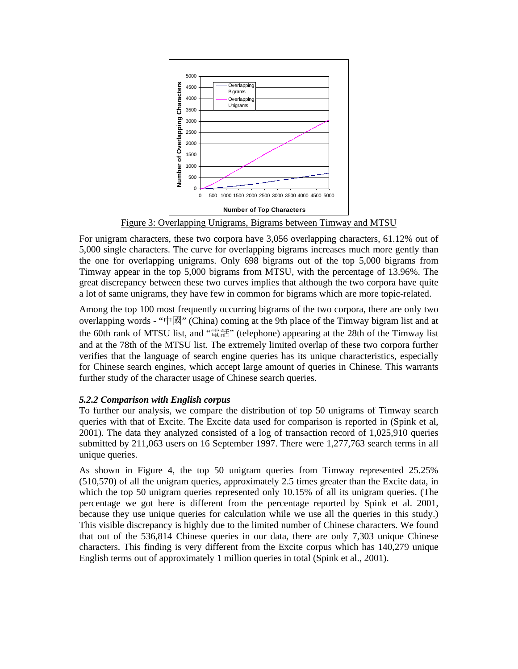

Figure 3: Overlapping Unigrams, Bigrams between Timway and MTSU

For unigram characters, these two corpora have 3,056 overlapping characters, 61.12% out of 5,000 single characters. The curve for overlapping bigrams increases much more gently than the one for overlapping unigrams. Only 698 bigrams out of the top 5,000 bigrams from Timway appear in the top 5,000 bigrams from MTSU, with the percentage of 13.96%. The great discrepancy between these two curves implies that although the two corpora have quite a lot of same unigrams, they have few in common for bigrams which are more topic-related.

Among the top 100 most frequently occurring bigrams of the two corpora, there are only two overlapping words - "中國" (China) coming at the 9th place of the Timway bigram list and at the 60th rank of MTSU list, and "電話" (telephone) appearing at the 28th of the Timway list and at the 78th of the MTSU list. The extremely limited overlap of these two corpora further verifies that the language of search engine queries has its unique characteristics, especially for Chinese search engines, which accept large amount of queries in Chinese. This warrants further study of the character usage of Chinese search queries.

# *5.2.2 Comparison with English corpus*

To further our analysis, we compare the distribution of top 50 unigrams of Timway search queries with that of Excite. The Excite data used for comparison is reported in (Spink et al, 2001). The data they analyzed consisted of a log of transaction record of 1,025,910 queries submitted by 211,063 users on 16 September 1997. There were 1,277,763 search terms in all unique queries.

As shown in Figure 4, the top 50 unigram queries from Timway represented 25.25% (510,570) of all the unigram queries, approximately 2.5 times greater than the Excite data, in which the top 50 unigram queries represented only 10.15% of all its unigram queries. (The percentage we got here is different from the percentage reported by Spink et al. 2001, because they use unique queries for calculation while we use all the queries in this study.) This visible discrepancy is highly due to the limited number of Chinese characters. We found that out of the 536,814 Chinese queries in our data, there are only 7,303 unique Chinese characters. This finding is very different from the Excite corpus which has 140,279 unique English terms out of approximately 1 million queries in total (Spink et al., 2001).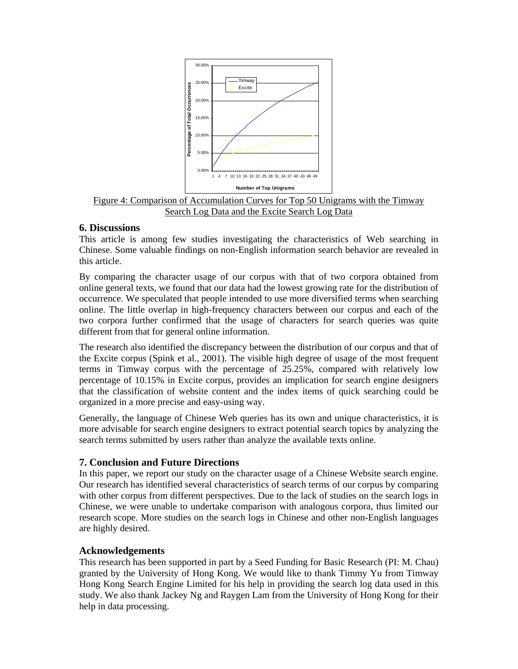

Figure 4: Comparison of Accumulation Curves for Top 50 Unigrams with the Timway Search Log Data and the Excite Search Log Data

# **6. Discussions**

This article is among few studies investigating the characteristics of Web searching in Chinese. Some valuable findings on non-English information search behavior are revealed in this article.

By comparing the character usage of our corpus with that of two corpora obtained from online general texts, we found that our data had the lowest growing rate for the distribution of occurrence. We speculated that people intended to use more diversified terms when searching online. The little overlap in high-frequency characters between our corpus and each of the two corpora further confirmed that the usage of characters for search queries was quite different from that for general online information.

The research also identified the discrepancy between the distribution of our corpus and that of the Excite corpus (Spink et al., 2001). The visible high degree of usage of the most frequent terms in Timway corpus with the percentage of 25.25%, compared with relatively low percentage of 10.15% in Excite corpus, provides an implication for search engine designers that the classification of website content and the index items of quick searching could be organized in a more precise and easy-using way.

Generally, the language of Chinese Web queries has its own and unique characteristics, it is more advisable for search engine designers to extract potential search topics by analyzing the search terms submitted by users rather than analyze the available texts online.

# **7. Conclusion and Future Directions**

In this paper, we report our study on the character usage of a Chinese Website search engine. Our research has identified several characteristics of search terms of our corpus by comparing with other corpus from different perspectives. Due to the lack of studies on the search logs in Chinese, we were unable to undertake comparison with analogous corpora, thus limited our research scope. More studies on the search logs in Chinese and other non-English languages are highly desired.

### **Acknowledgements**

This research has been supported in part by a Seed Funding for Basic Research (PI: M. Chau) granted by the University of Hong Kong. We would like to thank Timmy Yu from Timway Hong Kong Search Engine Limited for his help in providing the search log data used in this study. We also thank Jackey Ng and Raygen Lam from the University of Hong Kong for their help in data processing.